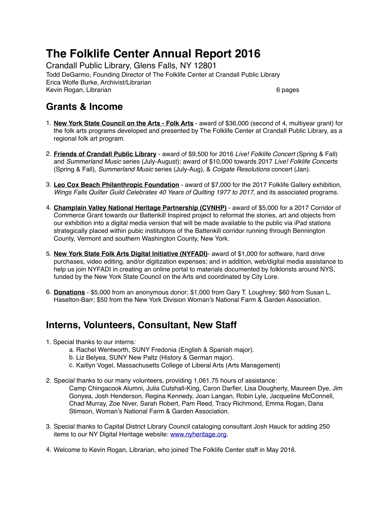# **The Folklife Center Annual Report 2016**

Crandall Public Library, Glens Falls, NY 12801 Todd DeGarmo, Founding Director of The Folklife Center at Crandall Public Library Erica Wolfe Burke, Archivist/Librarian Kevin Rogan, Librarian 6 pages and the control of the control of the control of the control of the control of the control of the control of the control of the control of the control of the control of the control of the con

### **Grants & Income**

- 1. **New York State Council on the Arts Folk Arts** award of \$36,000 (second of 4, multiyear grant) for the folk arts programs developed and presented by The Folklife Center at Crandall Public Library, as a regional folk art program.
- 2. **Friends of Crandall Public Library** award of \$9,500 for 2016 *Live! Folklife Concert* (Spring & Fall) and *Summerland Music* series (July-August); award of \$10,000 towards 2017 *Live! Folklife Concerts* (Spring & Fall), *Summerland Music* series (July-Aug), & *Colgate Resolutions* concert (Jan).
- 3. **Leo Cox Beach Philanthropic Foundation** award of \$7,000 for the 2017 Folklife Gallery exhibition, *Wings Falls Quilter Guild Celebrates 40 Years of Quilting 1977 to 2017*, and its associated programs.
- 4. **Champlain Valley National Heritage Partnership (CVNHP)** award of \$5,000 for a 2017 Corridor of Commerce Grant towards our Battenkill Inspired project to reformat the stories, art and objects from our exhibition into a digital media version that will be made available to the public via iPad stations strategically placed within pubic institutions of the Battenkill corridor running through Bennington County, Vermont and southern Washington County, New York.
- 5. **New York State Folk Arts Digital Initiative (NYFADI)** award of \$1,000 for software, hard drive purchases, video editing, and/or digitization expenses; and in addition, web/digital media assistance to help us join NYFADI in creating an online portal to materials documented by folklorists around NYS, funded by the New York State Council on the Arts and coordinated by City Lore.
- 6. **Donations** \$5,000 from an anonymous donor; \$1,000 from Gary T. Loughrey; \$60 from Susan L. Haselton-Barr; \$50 from the New York Division Woman's National Farm & Garden Association.

## **Interns, Volunteers, Consultant, New Staff**

- 1. Special thanks to our interns:
	- a. Rachel Wentworth, SUNY Fredonia (English & Spanish major).
	- b. Liz Belyea, SUNY New Paltz (History & German major).
	- c. Kaitlyn Vogel, Massachusetts College of Liberal Arts (Arts Management)
- 2. Special thanks to our many volunteers, providing 1,061.75 hours of assistance:
	- Camp Chingacook Alumni, Julia Cutshall-King, Caron Darfler, Lisa Dougherty, Maureen Dye, Jim Gonyea, Josh Henderson, Regina Kennedy, Joan Langan, Robin Lyle, Jacqueline McConnell, Chad Murray, Zoe Niver, Sarah Robert, Pam Reed, Tracy Richmond, Emma Rogan, Dana Stimson, Woman's National Farm & Garden Association.
- 3. Special thanks to Capital District Library Council cataloging consultant Josh Hauck for adding 250 items to our NY Digital Heritage website: [www.nyheritage.org.](http://www.nyheritage.org)
- 4. Welcome to Kevin Rogan, Librarian, who joined The Folklife Center staff in May 2016.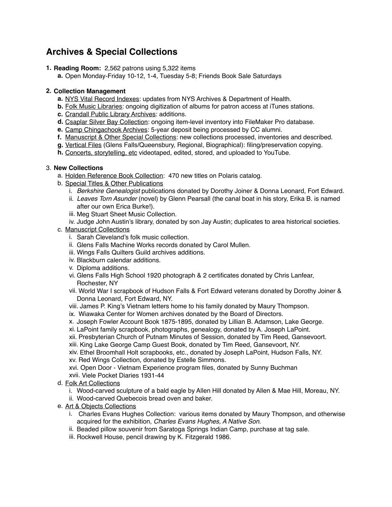### **Archives & Special Collections**

**1. Reading Room:** 2,562 patrons using 5,322 items

**a.** Open Monday-Friday 10-12, 1-4, Tuesday 5-8; Friends Book Sale Saturdays

#### **2. Collection Management**

- **a.** NYS Vital Record Indexes: updates from NYS Archives & Department of Health.
- **b.** Folk Music Libraries: ongoing digitization of albums for patron access at iTunes stations.
- **c.** Crandall Public Library Archives: additions.
- **d.** Csaplar Silver Bay Collection: ongoing item-level inventory into FileMaker Pro database.
- **e.** Camp Chingachook Archives: 5-year deposit being processed by CC alumni.
- **f.** Manuscript & Other Special Collections: new collections processed, inventories and described.
- **g.** Vertical Files (Glens Falls/Queensbury, Regional, Biographical): filing/preservation copying.
- **h.** Concerts, storytelling, etc videotaped, edited, stored, and uploaded to YouTube.

#### 3. **New Collections**

- a. Holden Reference Book Collection: 470 new titles on Polaris catalog.
- b. Special Titles & Other Publications
	- i. *Berkshire Genealogist* publications donated by Dorothy Joiner & Donna Leonard, Fort Edward.
	- ii. *Leaves Torn Asunder* (novel) by Glenn Pearsall (the canal boat in his story, Erika B. is named after our own Erica Burke!).
	- iii. Meg Stuart Sheet Music Collection.
	- iv. Judge John Austin's library, donated by son Jay Austin; duplicates to area historical societies.
- c. Manuscript Collections
	- i. Sarah Cleveland's folk music collection.
	- ii. Glens Falls Machine Works records donated by Carol Mullen.
	- iii. Wings Falls Quilters Guild archives additions.
	- iv. Blackburn calendar additions.
	- v. Diploma additions.
	- vi. Glens Falls High School 1920 photograph & 2 certificates donated by Chris Lanfear, Rochester, NY
	- vii. World War I scrapbook of Hudson Falls & Fort Edward veterans donated by Dorothy Joiner & Donna Leonard, Fort Edward, NY.
	- viii. James P. King's Vietnam letters home to his family donated by Maury Thompson.
	- ix. Wiawaka Center for Women archives donated by the Board of Directors.
	- x. Joseph Fowler Account Book 1875-1895, donated by Lillian B. Adamson, Lake George.
	- xi. LaPoint family scrapbook, photographs, genealogy, donated by A. Joseph LaPoint.
	- xii. Presbyterian Church of Putnam Minutes of Session, donated by Tim Reed, Gansevoort.
	- xiii. King Lake George Camp Guest Book, donated by Tim Reed, Gansevoort, NY.
	- xiv. Ethel Broomhall Holt scrapbooks, etc., donated by Joseph LaPoint, Hudson Falls, NY. xv. Red Wings Collection, donated by Estelle Simmons.
	- xvi. Open Door Vietnam Experience program files, donated by Sunny Buchman
	- xvii. Viele Pocket Diaries 1931-44
- d. Folk Art Collections
	- i. Wood-carved sculpture of a bald eagle by Allen Hill donated by Allen & Mae Hill, Moreau, NY.
	- ii. Wood-carved Quebecois bread oven and baker.
- e. Art & Objects Collections
	- i. Charles Evans Hughes Collection: various items donated by Maury Thompson, and otherwise acquired for the exhibition, *Charles Evans Hughes, A Native Son*.
	- ii. Beaded pillow souvenir from Saratoga Springs Indian Camp, purchase at tag sale.
	- iii. Rockwell House, pencil drawing by K. Fitzgerald 1986.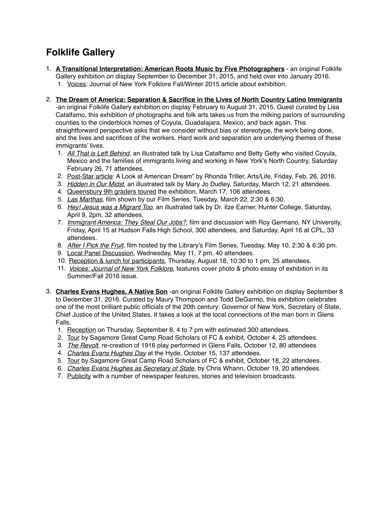# **Folklife Gallery**

- 1. **A Transitional Interpretation: American Roots Music by Five Photographers** an original Folklife Gallery exhibition on display September to December 31, 2015, and held over into January 2016. 1. Voices: Journal of New York Folklore Fall/Winter 2015 article about exhibition.
- 2. **The Dream of America: Separation & Sacrifice in the Lives of North Country Latino Immigrants** -an original Folklife Gallery exhibition on display February to August 31, 2015. Guest curated by Lisa Catalfamo, this exhibition of photographs and folk arts takes us from the milking parlors of surrounding counties to the cinderblock homes of Coyula, Guadalajara, Mexico, and back again. This straightforward perspective asks that we consider without bias or stereotype, the work being done, and the lives and sacrifices of the workers. Hard work and separation are underlying themes of these immigrants' lives.
	- 1. *All That is Left Behind*, an illustrated talk by Lisa Catalfamo and Betty Getty who visited Coyula, Mexico and the families of immigrants living and working in New York's North Country, Saturday February 26, 71 attendees.
	- 2. Post-Star article: A Look at American Dream" by Rhonda Triller, Arts/Life, Friday, Feb. 26, 2016.
	- 3. *Hidden in Our Midst*, an illustrated talk by Mary Jo Dudley, Saturday, March 12, 21 attendees.
	- 4. Queensbury 9th graders toured the exhibition, March 17, 106 attendees.
	- 5. *Las Marthas*, film shown by our Film Series, Tuesday, March 22, 2:30 & 6:30.
	- 6. *Hey! Jesus was a Migrant Too*, an illustrated talk by Dr. Ilze Earner, Hunter College, Saturday, April 9, 2pm, 32 attendees.
	- 7. *Immigrant America: They Steal Our Jobs?*, film and discussion with Roy Germano, NY University, Friday, April 15 at Hudson Falls High School, 300 attendees, and Saturday, April 16 at CPL, 33 attendees.
	- 8. *After I Pick the Fruit*, film hosted by the Library's Film Series, Tuesday, May 10, 2:30 & 6:30 pm.
	- 9. Local Panel Discussion, Wednesday, May 11, 7 pm, 40 attendees.
	- 10. Reception & lunch for participants, Thursday, August 18, 10:30 to 1 pm, 25 attendees.
	- 11. *Voices: Journal of New York Folklore*, features cover photo & photo essay of exhibition in its Summer/Fall 2016 issue.
- 3. **Charles Evans Hughes, A Native Son** -an original Folklife Gallery exhibition on display September 8 to December 31, 2016. Curated by Maury Thompson and Todd DeGarmo, this exhibition celebrates one of the most brilliant public officials of the 20th century: Governor of New York, Secretary of State, Chief Justice of the United States. It takes a look at the local connections of the man born in Glens Falls.
	- 1. Reception on Thursday, September 8, 4 to 7 pm with estimated 300 attendees.
	- 2. Tour by Sagamore Great Camp Road Scholars of FC & exhibit, October 4, 25 attendees.
	- 3. *The Revolt*, re-creation of 1916 play performed in Glens Falls, October 12, 80 attendees
	- 4. *Charles Evans Hughes Day* at the Hyde, October 15, 137 attendees.
	- 5. Tour by Sagamore Great Camp Road Scholars of FC & exhibit, October 18, 22 attendees.
	- 6. *Charles Evans Hughes as Secretary of State*, by Chris Whann, October 19, 20 attendees.
	- 7. Publicity with a number of newspaper features, stories and television broadcasts.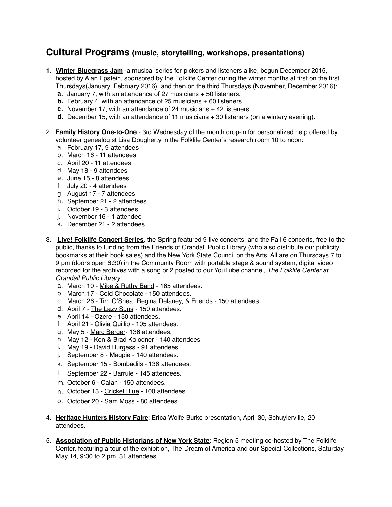### **Cultural Programs (music, storytelling, workshops, presentations)**

- **1. Winter Bluegrass Jam** -a musical series for pickers and listeners alike, begun December 2015, hosted by Alan Epstein, sponsored by the Folklife Center during the winter months at first on the first Thursdays(January, February 2016), and then on the third Thursdays (November, December 2016):
	- **a.** January 7, with an attendance of 27 musicians + 50 listeners.
	- **b.** February 4, with an attendance of 25 musicians + 60 listeners.
	- **c.** November 17, with an attendance of 24 musicians + 42 listeners.
	- **d.** December 15, with an attendance of 11 musicians + 30 listeners (on a wintery evening).
- 2. **Family History One-to-One** 3rd Wednesday of the month drop-in for personalized help offered by volunteer genealogist Lisa Dougherty in the Folklife Center's research room 10 to noon:
	- a. February 17, 9 attendees
	- b. March 16 11 attendees
	- c. April 20 11 attendees
	- d. May 18 9 attendees
	- e. June 15 8 attendees
	- f. July 20 4 attendees
	- g. August 17 7 attendees
	- h. September 21 2 attendees
	- i. October 19 3 attendees
	- j. November 16 1 attendee
	- k. December 21 2 attendees
- 3. **Live! Folklife Concert Series**, the Spring featured 9 live concerts, and the Fall 6 concerts, free to the public, thanks to funding from the Friends of Crandall Public Library (who also distribute our publicity bookmarks at their book sales) and the New York State Council on the Arts. All are on Thursdays 7 to 9 pm (doors open 6:30) in the Community Room with portable stage & sound system, digital video recorded for the archives with a song or 2 posted to our YouTube channel, *The Folklife Center at Crandall Public Library*:
	- a. March 10 Mike & Ruthy Band 165 attendees.
	- b. March 17 Cold Chocolate 150 attendees.
	- c. March 26 Tim O'Shea, Regina Delaney, & Friends 150 attendees.
	- d. April 7 The Lazy Suns 150 attendees.
	- e. April 14 Ozere 150 attendees.
	- f. April 21 Olivia Quillio 105 attendees.
	- g. May 5 Marc Berger- 136 attendees.
	- h. May 12 Ken & Brad Kolodner 140 attendees.
	- i. May 19 David Burgess 91 attendees.
	- j. September 8 Magpie 140 attendees.
	- k. September 15 Bombadils 136 attendees.
	- l. September 22 Barrule 145 attendees.
	- m. October 6 Calan 150 attendees.
	- n. October 13 Cricket Blue 100 attendees.
	- o. October 20 Sam Moss 80 attendees.
- 4. **Heritage Hunters History Faire**: Erica Wolfe Burke presentation, April 30, Schuylerville, 20 attendees.
- 5. **Association of Public Historians of New York State**: Region 5 meeting co-hosted by The Folklife Center, featuring a tour of the exhibition, The Dream of America and our Special Collections, Saturday May 14, 9:30 to 2 pm, 31 attendees.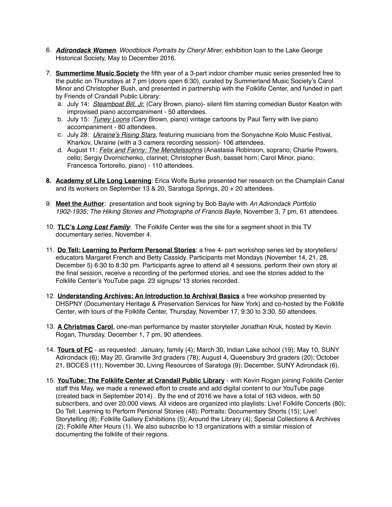- 6. *Adirondack Women, Woodblock Portraits by Cheryl Mirer*, exhibition loan to the Lake George Historical Society, May to December 2016.
- 7. **Summertime Music Society** the fifth year of a 3-part indoor chamber music series presented free to the public on Thursdays at 7 pm (doors open 6:30), curated by Summerland Music Society's Carol Minor and Christopher Bush, and presented in partnership with the Folklife Center, and funded in part by Friends of Crandall Public Library:
	- a. July 14: *Steamboat Bill, Jr.* (Cary Brown, piano)- silent film starring comedian Bustor Keaton with improvised piano accompaniment - 50 attendees.
	- b. July 15: *Tuney Loons* (Cary Brown, piano) vintage cartoons by Paul Terry with live piano accompaniment - 80 attendees.
	- c. July 28: *Ukraine's Rising Stars*, featuring musicians from the Sonyachne Kolo Music Festival, Kharkov, Ukraine (with a 3 camera recording session)- 106 attendees.
	- d. August 11: *Felix and Fanny: The Mendelssohns* (Anastasia Robinson, soprano; Charlie Powers, cello; Sergiy Dvornichenko, clarinet; Christopher Bush, basset horn; Carol Minor, piano; Francesca Tortorello, piano) - 110 attendees.
- **8. Academy of Life Long Learning**: Erica Wolfe Burke presented her research on the Champlain Canal and its workers on September 13 & 20, Saratoga Springs, 20 + 20 attendees.
- 9. **Meet the Author**: presentation and book signing by Bob Bayle with *An Adirondack Portfolio 1902-1935; The Hiking Stories and Photographs of Francis Bayle*, November 3, 7 pm, 61 attendees.
- 10. **TLC's** *Long Lost Family*: The Folklife Center was the site for a segment shoot in this TV documentary series, November 4.
- 11. **Do Tell: Learning to Perform Personal Stories**: a free 4- part workshop series led by storytellers/ educators Margaret French and Betty Cassidy. Participants met Mondays (November 14, 21, 28, December 5) 6:30 to 8:30 pm. Participants agree to attend all 4 sessions, perform their own story at the final session, receive a recording of the performed stories, and see the stories added to the Folklife Center's YouTube page. 23 signups/ 13 stories recorded.
- 12. **Understanding Archives: An Introduction to Archival Basics** a free workshop presented by DHSPNY (Documentary Heritage & Preservation Services for New York) and co-hosted by the Folklife Center, with tours of the Folklife Center, Thursday, November 17, 9:30 to 3:30, 50 attendees.
- 13. **A Christmas Carol**, one-man performance by master storyteller Jonathan Kruk, hosted by Kevin Rogan, Thursday, December 1, 7 pm, 90 attendees.
- 14. **Tours of FC** as requested: January, family (4); March 30, Indian Lake school (19); May 10, SUNY Adirondack (6); May 20, Granville 3rd graders (78); August 4, Queensbury 3rd graders (20); October 21, BOCES (11); November 30, Living Resources of Saratoga (9); December, SUNY Adirondack (6).
- 15. **YouTube: The Folklife Center at Crandall Public Library** with Kevin Rogan joining Folklife Center staff this May, we made a renewed effort to create and add digital content to our YouTube page (created back in September 2014) . By the end of 2016 we have a total of 163 videos, with 50 subscribers, and over 20,000 views. All videos are organized into playlists: Live! Folklife Concerts (80); Do Tell: Learning to Perform Personal Stories (48); Portraits: Documentary Shorts (15); Live! Storytelling (8); Folklife Gallery Exhibitions (5); Around the Library (4); Special Collections & Archives (2); Folklife After Hours (1). We also subscribe to 13 organizations with a similar mission of documenting the folklife of their regions.